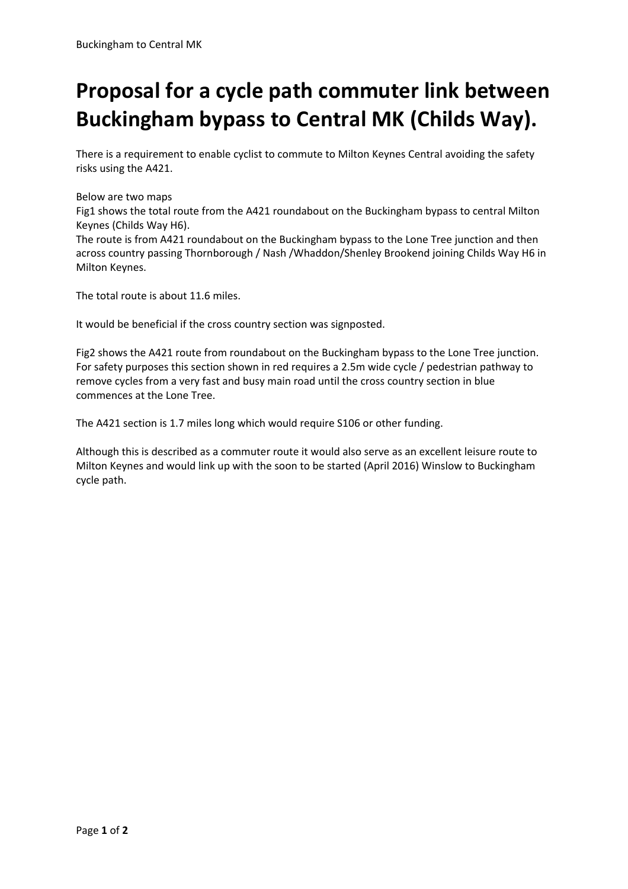## **Proposal for a cycle path commuter link between Buckingham bypass to Central MK (Childs Way).**

There is a requirement to enable cyclist to commute to Milton Keynes Central avoiding the safety risks using the A421.

## Below are two maps

Fig1 shows the total route from the A421 roundabout on the Buckingham bypass to central Milton Keynes (Childs Way H6).

The route is from A421 roundabout on the Buckingham bypass to the Lone Tree junction and then across country passing Thornborough / Nash /Whaddon/Shenley Brookend joining Childs Way H6 in Milton Keynes.

The total route is about 11.6 miles.

It would be beneficial if the cross country section was signposted.

Fig2 shows the A421 route from roundabout on the Buckingham bypass to the Lone Tree junction. For safety purposes this section shown in red requires a 2.5m wide cycle / pedestrian pathway to remove cycles from a very fast and busy main road until the cross country section in blue commences at the Lone Tree.

The A421 section is 1.7 miles long which would require S106 or other funding.

Although this is described as a commuter route it would also serve as an excellent leisure route to Milton Keynes and would link up with the soon to be started (April 2016) Winslow to Buckingham cycle path.